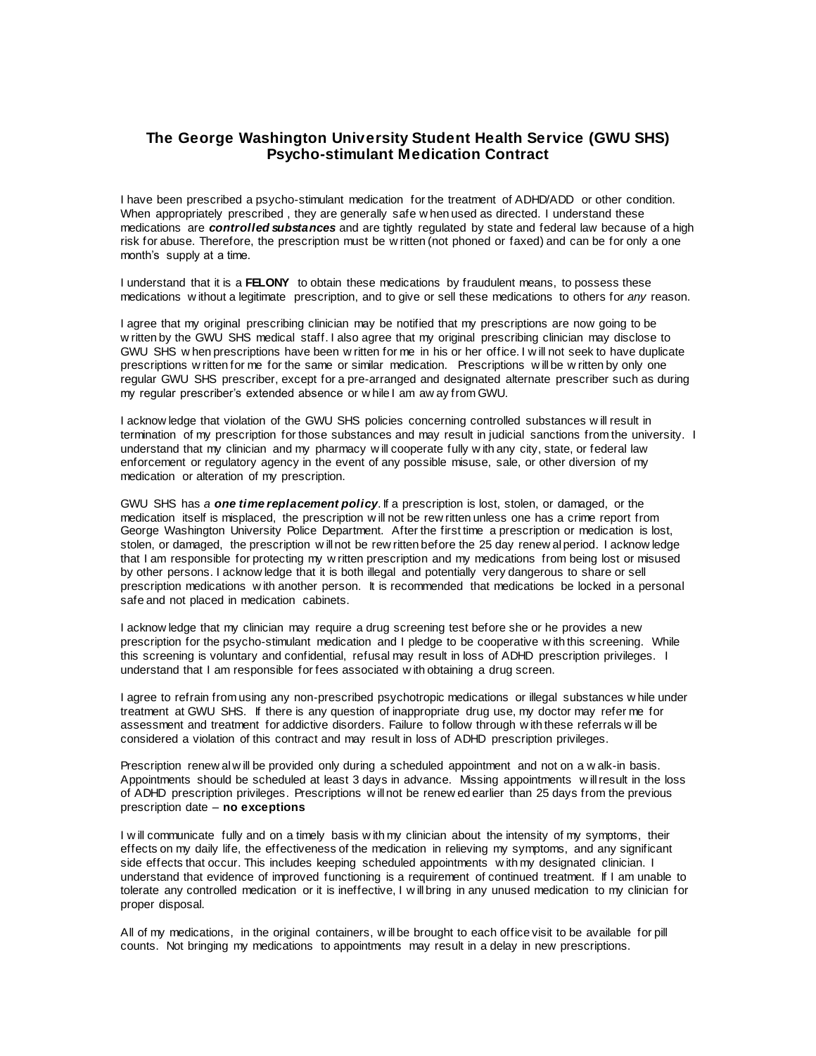## **The George Washington University Student Health Service (GWU SHS) Psycho-stimulant Medication Contract**

I have been prescribed a psycho-stimulant medication for the treatment of ADHD/ADD or other condition. When appropriately prescribed , they are generally safe w hen used as directed. I understand these medications are *controlled substances* and are tightly regulated by state and federal law because of a high risk for abuse. Therefore, the prescription must be w ritten (not phoned or faxed) and can be for only a one month's supply at a time.

I understand that it is a **FELONY** to obtain these medications by fraudulent means, to possess these medications w ithout a legitimate prescription, and to give or sell these medications to others for *any* reason.

I agree that my original prescribing clinician may be notified that my prescriptions are now going to be w ritten by the GWU SHS medical staff. I also agree that my original prescribing clinician may disclose to GWU SHS w hen prescriptions have been w ritten for me in his or her office. I w ill not seek to have duplicate prescriptions w ritten for me for the same or similar medication. Prescriptions w ill be w ritten by only one regular GWU SHS prescriber, except for a pre-arranged and designated alternate prescriber such as during my regular prescriber's extended absence or w hile I am aw ay from GWU.

I acknow ledge that violation of the GWU SHS policies concerning controlled substances w ill result in termination of my prescription for those substances and may result in judicial sanctions from the university. I understand that my clinician and my pharmacy w ill cooperate fully w ith any city, state, or federal law enforcement or regulatory agency in the event of any possible misuse, sale, or other diversion of my medication or alteration of my prescription.

GWU SHS has *a one time replacement policy*. If a prescription is lost, stolen, or damaged, or the medication itself is misplaced, the prescription w ill not be rew ritten unless one has a crime report from George Washington University Police Department. After the first time a prescription or medication is lost, stolen, or damaged, the prescription w ill not be rew ritten before the 25 day renew al period. I acknow ledge that I am responsible for protecting my w ritten prescription and my medications from being lost or misused by other persons. I acknow ledge that it is both illegal and potentially very dangerous to share or sell prescription medications w ith another person. It is recommended that medications be locked in a personal safe and not placed in medication cabinets.

I acknow ledge that my clinician may require a drug screening test before she or he provides a new prescription for the psycho-stimulant medication and I pledge to be cooperative w ith this screening. While this screening is voluntary and confidential, refusal may result in loss of ADHD prescription privileges. I understand that I am responsible for fees associated w ith obtaining a drug screen.

I agree to refrain from using any non-prescribed psychotropic medications or illegal substances w hile under treatment at GWU SHS. If there is any question of inappropriate drug use, my doctor may refer me for assessment and treatment for addictive disorders. Failure to follow through w ith these referrals w ill be considered a violation of this contract and may result in loss of ADHD prescription privileges.

Prescription renew al w ill be provided only during a scheduled appointment and not on a w alk-in basis. Appointments should be scheduled at least 3 days in advance. Missing appointments w ill result in the loss of ADHD prescription privileges. Prescriptions w ill not be renew ed earlier than 25 days from the previous prescription date – **no exceptions**

I w ill communicate fully and on a timely basis w ith my clinician about the intensity of my symptoms, their effects on my daily life, the effectiveness of the medication in relieving my symptoms, and any significant side effects that occur. This includes keeping scheduled appointments with my designated clinician. I understand that evidence of improved functioning is a requirement of continued treatment. If I am unable to tolerate any controlled medication or it is ineffective, I w ill bring in any unused medication to my clinician for proper disposal.

All of my medications, in the original containers, w ill be brought to each office visit to be available for pill counts. Not bringing my medications to appointments may result in a delay in new prescriptions.